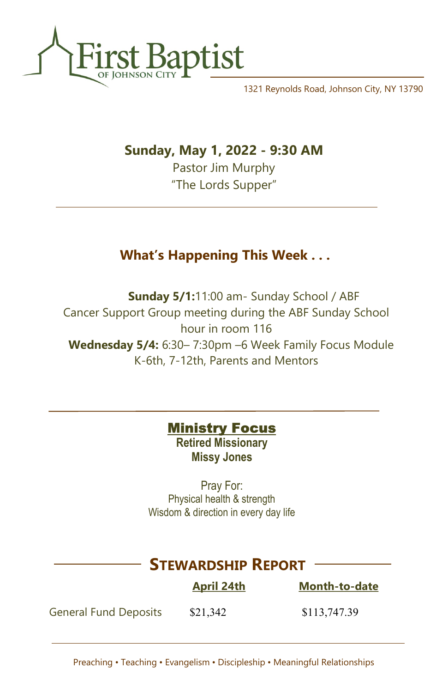

1321 Reynolds Road, Johnson City, NY 13790

## Sunday, May 1, 2022 - 9:30 AM

Pastor Jim Murphy "The Lords Supper"

# What's Happening This Week . . .

Sunday 5/1:11:00 am- Sunday School / ABF Cancer Support Group meeting during the ABF Sunday School hour in room 116 Wednesday 5/4: 6:30– 7:30pm –6 Week Family Focus Module K-6th, 7-12th, Parents and Mentors

### **Ministry Focus**

Retired Missionary Missy Jones

Pray For: Physical health & strength Wisdom & direction in every day life

# STEWARDSHIP REPORT

|                              | <b>April 24th</b> | <b>Month-to-date</b> |
|------------------------------|-------------------|----------------------|
| <b>General Fund Deposits</b> | \$21,342          | \$113,747.39         |